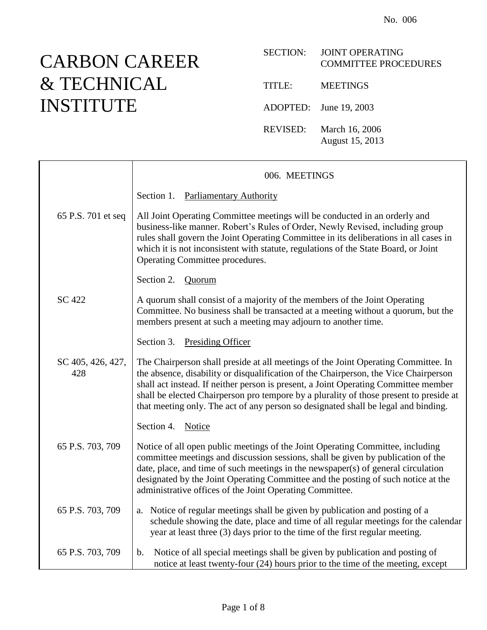## CARBON CAREER & TECHNICAL INSTITUTE

## SECTION: JOINT OPERATING COMMITTEE PROCEDURES

TITLE: MEETINGS

ADOPTED: June 19, 2003

REVISED: March 16, 2006 August 15, 2013

|                          | 006. MEETINGS                                                                                                                                                                                                                                                                                                                                                                                                                                     |
|--------------------------|---------------------------------------------------------------------------------------------------------------------------------------------------------------------------------------------------------------------------------------------------------------------------------------------------------------------------------------------------------------------------------------------------------------------------------------------------|
|                          | Section 1. Parliamentary Authority                                                                                                                                                                                                                                                                                                                                                                                                                |
| 65 P.S. 701 et seq       | All Joint Operating Committee meetings will be conducted in an orderly and<br>business-like manner. Robert's Rules of Order, Newly Revised, including group<br>rules shall govern the Joint Operating Committee in its deliberations in all cases in<br>which it is not inconsistent with statute, regulations of the State Board, or Joint<br>Operating Committee procedures.                                                                    |
|                          | Section 2.<br>Quorum                                                                                                                                                                                                                                                                                                                                                                                                                              |
| SC 422                   | A quorum shall consist of a majority of the members of the Joint Operating<br>Committee. No business shall be transacted at a meeting without a quorum, but the<br>members present at such a meeting may adjourn to another time.                                                                                                                                                                                                                 |
|                          | Section 3. Presiding Officer                                                                                                                                                                                                                                                                                                                                                                                                                      |
| SC 405, 426, 427,<br>428 | The Chairperson shall preside at all meetings of the Joint Operating Committee. In<br>the absence, disability or disqualification of the Chairperson, the Vice Chairperson<br>shall act instead. If neither person is present, a Joint Operating Committee member<br>shall be elected Chairperson pro tempore by a plurality of those present to preside at<br>that meeting only. The act of any person so designated shall be legal and binding. |
|                          | Section 4. Notice                                                                                                                                                                                                                                                                                                                                                                                                                                 |
| 65 P.S. 703, 709         | Notice of all open public meetings of the Joint Operating Committee, including<br>committee meetings and discussion sessions, shall be given by publication of the<br>date, place, and time of such meetings in the newspaper(s) of general circulation<br>designated by the Joint Operating Committee and the posting of such notice at the<br>administrative offices of the Joint Operating Committee.                                          |
| 65 P.S. 703, 709         | a. Notice of regular meetings shall be given by publication and posting of a<br>schedule showing the date, place and time of all regular meetings for the calendar<br>year at least three (3) days prior to the time of the first regular meeting.                                                                                                                                                                                                |
| 65 P.S. 703, 709         | Notice of all special meetings shall be given by publication and posting of<br>b.<br>notice at least twenty-four (24) hours prior to the time of the meeting, except                                                                                                                                                                                                                                                                              |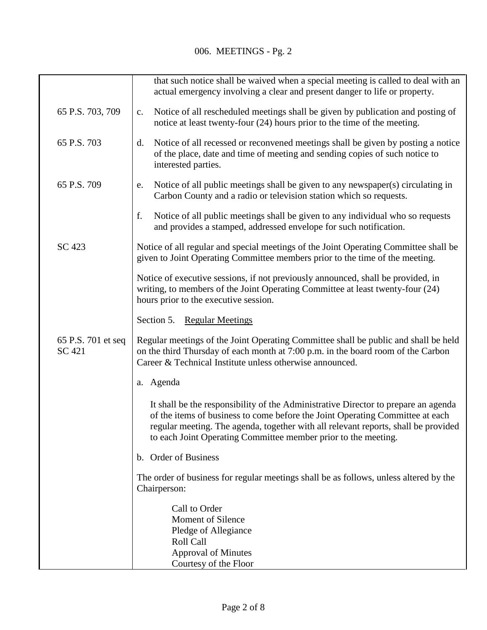|                              | that such notice shall be waived when a special meeting is called to deal with an<br>actual emergency involving a clear and present danger to life or property.                                                                                                                                                             |
|------------------------------|-----------------------------------------------------------------------------------------------------------------------------------------------------------------------------------------------------------------------------------------------------------------------------------------------------------------------------|
| 65 P.S. 703, 709             | Notice of all rescheduled meetings shall be given by publication and posting of<br>c.<br>notice at least twenty-four (24) hours prior to the time of the meeting.                                                                                                                                                           |
| 65 P.S. 703                  | Notice of all recessed or reconvened meetings shall be given by posting a notice<br>d.<br>of the place, date and time of meeting and sending copies of such notice to<br>interested parties.                                                                                                                                |
| 65 P.S. 709                  | Notice of all public meetings shall be given to any newspaper(s) circulating in<br>e.<br>Carbon County and a radio or television station which so requests.                                                                                                                                                                 |
|                              | Notice of all public meetings shall be given to any individual who so requests<br>f.<br>and provides a stamped, addressed envelope for such notification.                                                                                                                                                                   |
| SC 423                       | Notice of all regular and special meetings of the Joint Operating Committee shall be<br>given to Joint Operating Committee members prior to the time of the meeting.                                                                                                                                                        |
|                              | Notice of executive sessions, if not previously announced, shall be provided, in<br>writing, to members of the Joint Operating Committee at least twenty-four (24)<br>hours prior to the executive session.                                                                                                                 |
|                              | Section 5. Regular Meetings                                                                                                                                                                                                                                                                                                 |
| 65 P.S. 701 et seq<br>SC 421 | Regular meetings of the Joint Operating Committee shall be public and shall be held<br>on the third Thursday of each month at 7:00 p.m. in the board room of the Carbon<br>Career & Technical Institute unless otherwise announced.                                                                                         |
|                              | a. Agenda                                                                                                                                                                                                                                                                                                                   |
|                              | It shall be the responsibility of the Administrative Director to prepare an agenda<br>of the items of business to come before the Joint Operating Committee at each<br>regular meeting. The agenda, together with all relevant reports, shall be provided<br>to each Joint Operating Committee member prior to the meeting. |
|                              | b. Order of Business                                                                                                                                                                                                                                                                                                        |
|                              | The order of business for regular meetings shall be as follows, unless altered by the<br>Chairperson:                                                                                                                                                                                                                       |
|                              | Call to Order<br>Moment of Silence<br>Pledge of Allegiance<br>Roll Call<br><b>Approval of Minutes</b><br>Courtesy of the Floor                                                                                                                                                                                              |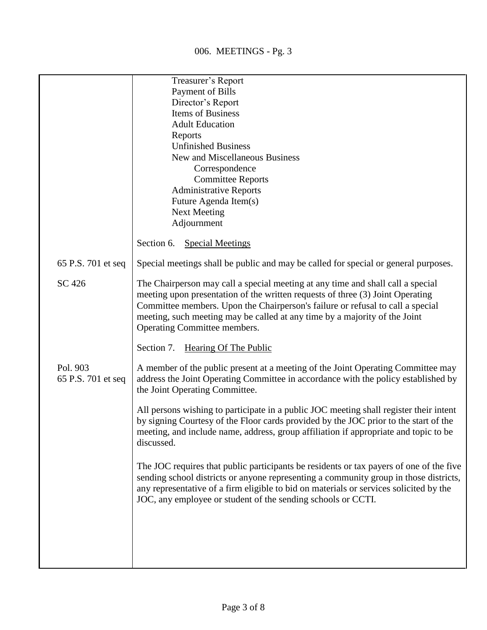|                                | Treasurer's Report                                                                                                                                                                                                                                                                                                                                                |
|--------------------------------|-------------------------------------------------------------------------------------------------------------------------------------------------------------------------------------------------------------------------------------------------------------------------------------------------------------------------------------------------------------------|
|                                | Payment of Bills                                                                                                                                                                                                                                                                                                                                                  |
|                                | Director's Report                                                                                                                                                                                                                                                                                                                                                 |
|                                | Items of Business                                                                                                                                                                                                                                                                                                                                                 |
|                                | <b>Adult Education</b>                                                                                                                                                                                                                                                                                                                                            |
|                                | Reports                                                                                                                                                                                                                                                                                                                                                           |
|                                | <b>Unfinished Business</b>                                                                                                                                                                                                                                                                                                                                        |
|                                | New and Miscellaneous Business                                                                                                                                                                                                                                                                                                                                    |
|                                | Correspondence                                                                                                                                                                                                                                                                                                                                                    |
|                                | <b>Committee Reports</b>                                                                                                                                                                                                                                                                                                                                          |
|                                | <b>Administrative Reports</b>                                                                                                                                                                                                                                                                                                                                     |
|                                | Future Agenda Item(s)                                                                                                                                                                                                                                                                                                                                             |
|                                | <b>Next Meeting</b>                                                                                                                                                                                                                                                                                                                                               |
|                                | Adjournment                                                                                                                                                                                                                                                                                                                                                       |
|                                | Section 6. Special Meetings                                                                                                                                                                                                                                                                                                                                       |
| 65 P.S. 701 et seq             | Special meetings shall be public and may be called for special or general purposes.                                                                                                                                                                                                                                                                               |
| SC 426                         | The Chairperson may call a special meeting at any time and shall call a special<br>meeting upon presentation of the written requests of three (3) Joint Operating<br>Committee members. Upon the Chairperson's failure or refusal to call a special<br>meeting, such meeting may be called at any time by a majority of the Joint<br>Operating Committee members. |
|                                | Section 7. Hearing Of The Public                                                                                                                                                                                                                                                                                                                                  |
| Pol. 903<br>65 P.S. 701 et seq | A member of the public present at a meeting of the Joint Operating Committee may<br>address the Joint Operating Committee in accordance with the policy established by<br>the Joint Operating Committee.                                                                                                                                                          |
|                                | All persons wishing to participate in a public JOC meeting shall register their intent<br>by signing Courtesy of the Floor cards provided by the JOC prior to the start of the<br>meeting, and include name, address, group affiliation if appropriate and topic to be<br>discussed.                                                                              |
|                                | The JOC requires that public participants be residents or tax payers of one of the five<br>sending school districts or anyone representing a community group in those districts,<br>any representative of a firm eligible to bid on materials or services solicited by the<br>JOC, any employee or student of the sending schools or CCTI.                        |
|                                |                                                                                                                                                                                                                                                                                                                                                                   |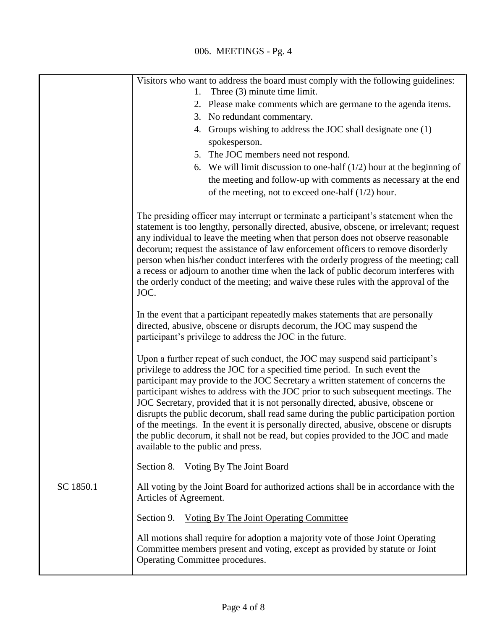|           | Visitors who want to address the board must comply with the following guidelines:                                                                                                                                                                                                                                                                                                                                                                                                                                                                                                                                                                                                                                                    |
|-----------|--------------------------------------------------------------------------------------------------------------------------------------------------------------------------------------------------------------------------------------------------------------------------------------------------------------------------------------------------------------------------------------------------------------------------------------------------------------------------------------------------------------------------------------------------------------------------------------------------------------------------------------------------------------------------------------------------------------------------------------|
|           | Three $(3)$ minute time limit.<br>1.                                                                                                                                                                                                                                                                                                                                                                                                                                                                                                                                                                                                                                                                                                 |
|           | 2. Please make comments which are germane to the agenda items.                                                                                                                                                                                                                                                                                                                                                                                                                                                                                                                                                                                                                                                                       |
|           | 3. No redundant commentary.                                                                                                                                                                                                                                                                                                                                                                                                                                                                                                                                                                                                                                                                                                          |
|           | 4. Groups wishing to address the JOC shall designate one (1)                                                                                                                                                                                                                                                                                                                                                                                                                                                                                                                                                                                                                                                                         |
|           | spokesperson.                                                                                                                                                                                                                                                                                                                                                                                                                                                                                                                                                                                                                                                                                                                        |
|           | 5. The JOC members need not respond.                                                                                                                                                                                                                                                                                                                                                                                                                                                                                                                                                                                                                                                                                                 |
|           | 6. We will limit discussion to one-half $(1/2)$ hour at the beginning of                                                                                                                                                                                                                                                                                                                                                                                                                                                                                                                                                                                                                                                             |
|           | the meeting and follow-up with comments as necessary at the end                                                                                                                                                                                                                                                                                                                                                                                                                                                                                                                                                                                                                                                                      |
|           | of the meeting, not to exceed one-half $(1/2)$ hour.                                                                                                                                                                                                                                                                                                                                                                                                                                                                                                                                                                                                                                                                                 |
|           | The presiding officer may interrupt or terminate a participant's statement when the<br>statement is too lengthy, personally directed, abusive, obscene, or irrelevant; request<br>any individual to leave the meeting when that person does not observe reasonable<br>decorum; request the assistance of law enforcement officers to remove disorderly<br>person when his/her conduct interferes with the orderly progress of the meeting; call<br>a recess or adjourn to another time when the lack of public decorum interferes with<br>the orderly conduct of the meeting; and waive these rules with the approval of the<br>JOC.                                                                                                 |
|           | In the event that a participant repeatedly makes statements that are personally<br>directed, abusive, obscene or disrupts decorum, the JOC may suspend the<br>participant's privilege to address the JOC in the future.                                                                                                                                                                                                                                                                                                                                                                                                                                                                                                              |
|           | Upon a further repeat of such conduct, the JOC may suspend said participant's<br>privilege to address the JOC for a specified time period. In such event the<br>participant may provide to the JOC Secretary a written statement of concerns the<br>participant wishes to address with the JOC prior to such subsequent meetings. The<br>JOC Secretary, provided that it is not personally directed, abusive, obscene or<br>disrupts the public decorum, shall read same during the public participation portion<br>of the meetings. In the event it is personally directed, abusive, obscene or disrupts<br>the public decorum, it shall not be read, but copies provided to the JOC and made<br>available to the public and press. |
|           | <b>Voting By The Joint Board</b><br>Section 8.                                                                                                                                                                                                                                                                                                                                                                                                                                                                                                                                                                                                                                                                                       |
| SC 1850.1 | All voting by the Joint Board for authorized actions shall be in accordance with the<br>Articles of Agreement.                                                                                                                                                                                                                                                                                                                                                                                                                                                                                                                                                                                                                       |
|           | <b>Voting By The Joint Operating Committee</b><br>Section 9.                                                                                                                                                                                                                                                                                                                                                                                                                                                                                                                                                                                                                                                                         |
|           | All motions shall require for adoption a majority vote of those Joint Operating<br>Committee members present and voting, except as provided by statute or Joint<br>Operating Committee procedures.                                                                                                                                                                                                                                                                                                                                                                                                                                                                                                                                   |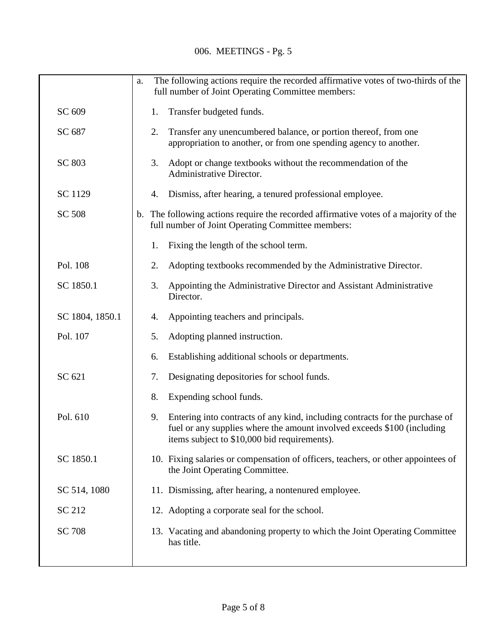|                 | The following actions require the recorded affirmative votes of two-thirds of the<br>a.                                                                                                                       |
|-----------------|---------------------------------------------------------------------------------------------------------------------------------------------------------------------------------------------------------------|
|                 | full number of Joint Operating Committee members:                                                                                                                                                             |
| SC 609          | Transfer budgeted funds.<br>1.                                                                                                                                                                                |
| SC 687          | 2.<br>Transfer any unencumbered balance, or portion thereof, from one<br>appropriation to another, or from one spending agency to another.                                                                    |
| SC 803          | 3.<br>Adopt or change textbooks without the recommendation of the<br>Administrative Director.                                                                                                                 |
| SC 1129         | Dismiss, after hearing, a tenured professional employee.<br>4.                                                                                                                                                |
| <b>SC 508</b>   | b. The following actions require the recorded affirmative votes of a majority of the<br>full number of Joint Operating Committee members:                                                                     |
|                 | Fixing the length of the school term.<br>1.                                                                                                                                                                   |
| Pol. 108        | Adopting textbooks recommended by the Administrative Director.<br>2.                                                                                                                                          |
| SC 1850.1       | Appointing the Administrative Director and Assistant Administrative<br>3.<br>Director.                                                                                                                        |
| SC 1804, 1850.1 | Appointing teachers and principals.<br>4.                                                                                                                                                                     |
| Pol. 107        | Adopting planned instruction.<br>5.                                                                                                                                                                           |
|                 | Establishing additional schools or departments.<br>6.                                                                                                                                                         |
| SC 621          | Designating depositories for school funds.<br>7.                                                                                                                                                              |
|                 | Expending school funds.<br>8.                                                                                                                                                                                 |
| Pol. 610        | Entering into contracts of any kind, including contracts for the purchase of<br>9.<br>fuel or any supplies where the amount involved exceeds \$100 (including<br>items subject to \$10,000 bid requirements). |
| SC 1850.1       | 10. Fixing salaries or compensation of officers, teachers, or other appointees of<br>the Joint Operating Committee.                                                                                           |
| SC 514, 1080    | 11. Dismissing, after hearing, a nontenured employee.                                                                                                                                                         |
| SC 212          | 12. Adopting a corporate seal for the school.                                                                                                                                                                 |
| <b>SC 708</b>   | 13. Vacating and abandoning property to which the Joint Operating Committee<br>has title.                                                                                                                     |
|                 |                                                                                                                                                                                                               |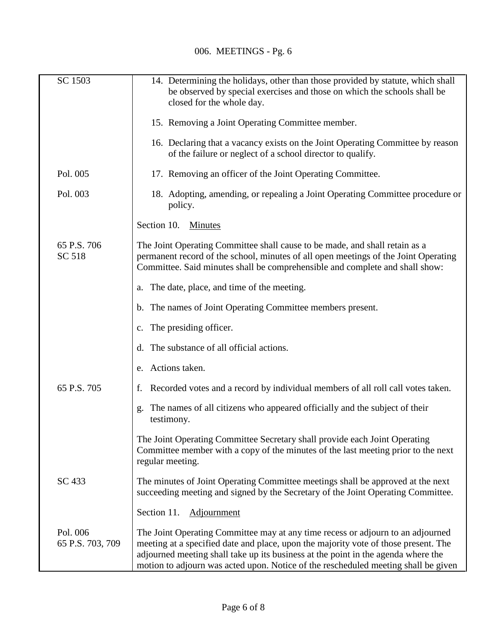| SC 1503                      | 14. Determining the holidays, other than those provided by statute, which shall<br>be observed by special exercises and those on which the schools shall be<br>closed for the whole day.                                                                                                                                                          |
|------------------------------|---------------------------------------------------------------------------------------------------------------------------------------------------------------------------------------------------------------------------------------------------------------------------------------------------------------------------------------------------|
|                              | 15. Removing a Joint Operating Committee member.                                                                                                                                                                                                                                                                                                  |
|                              | 16. Declaring that a vacancy exists on the Joint Operating Committee by reason<br>of the failure or neglect of a school director to qualify.                                                                                                                                                                                                      |
| Pol. 005                     | 17. Removing an officer of the Joint Operating Committee.                                                                                                                                                                                                                                                                                         |
| Pol. 003                     | 18. Adopting, amending, or repealing a Joint Operating Committee procedure or<br>policy.                                                                                                                                                                                                                                                          |
|                              | Section 10.<br><b>Minutes</b>                                                                                                                                                                                                                                                                                                                     |
| 65 P.S. 706<br>SC 518        | The Joint Operating Committee shall cause to be made, and shall retain as a<br>permanent record of the school, minutes of all open meetings of the Joint Operating<br>Committee. Said minutes shall be comprehensible and complete and shall show:                                                                                                |
|                              | The date, place, and time of the meeting.<br>a.                                                                                                                                                                                                                                                                                                   |
|                              | b. The names of Joint Operating Committee members present.                                                                                                                                                                                                                                                                                        |
|                              | The presiding officer.<br>$\mathbf{c}$ .                                                                                                                                                                                                                                                                                                          |
|                              | The substance of all official actions.<br>d.                                                                                                                                                                                                                                                                                                      |
|                              | Actions taken.<br>e.                                                                                                                                                                                                                                                                                                                              |
| 65 P.S. 705                  | Recorded votes and a record by individual members of all roll call votes taken.<br>f.                                                                                                                                                                                                                                                             |
|                              | The names of all citizens who appeared officially and the subject of their<br>g.<br>testimony.                                                                                                                                                                                                                                                    |
|                              | The Joint Operating Committee Secretary shall provide each Joint Operating<br>Committee member with a copy of the minutes of the last meeting prior to the next<br>regular meeting.                                                                                                                                                               |
| SC 433                       | The minutes of Joint Operating Committee meetings shall be approved at the next<br>succeeding meeting and signed by the Secretary of the Joint Operating Committee.                                                                                                                                                                               |
|                              | Section 11. Adjournment                                                                                                                                                                                                                                                                                                                           |
| Pol. 006<br>65 P.S. 703, 709 | The Joint Operating Committee may at any time recess or adjourn to an adjourned<br>meeting at a specified date and place, upon the majority vote of those present. The<br>adjourned meeting shall take up its business at the point in the agenda where the<br>motion to adjourn was acted upon. Notice of the rescheduled meeting shall be given |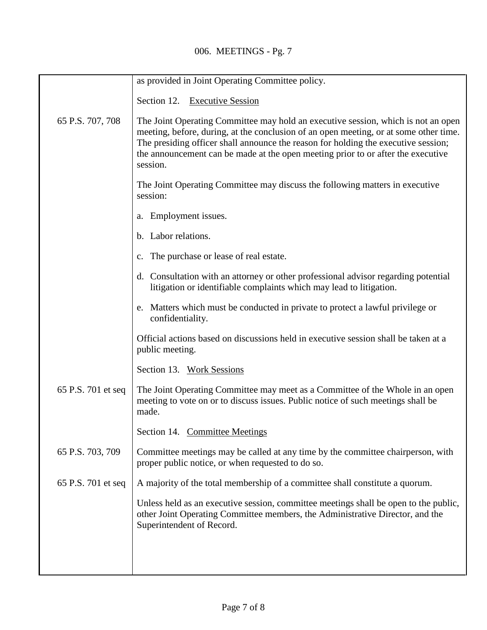## 006. MEETINGS - Pg. 7

|                    | as provided in Joint Operating Committee policy.                                                                                                                                                                                                                                                                                                                 |
|--------------------|------------------------------------------------------------------------------------------------------------------------------------------------------------------------------------------------------------------------------------------------------------------------------------------------------------------------------------------------------------------|
|                    | Section 12. Executive Session                                                                                                                                                                                                                                                                                                                                    |
| 65 P.S. 707, 708   | The Joint Operating Committee may hold an executive session, which is not an open<br>meeting, before, during, at the conclusion of an open meeting, or at some other time.<br>The presiding officer shall announce the reason for holding the executive session;<br>the announcement can be made at the open meeting prior to or after the executive<br>session. |
|                    | The Joint Operating Committee may discuss the following matters in executive<br>session:                                                                                                                                                                                                                                                                         |
|                    | a. Employment issues.                                                                                                                                                                                                                                                                                                                                            |
|                    | b. Labor relations.                                                                                                                                                                                                                                                                                                                                              |
|                    | c. The purchase or lease of real estate.                                                                                                                                                                                                                                                                                                                         |
|                    | d. Consultation with an attorney or other professional advisor regarding potential<br>litigation or identifiable complaints which may lead to litigation.                                                                                                                                                                                                        |
|                    | e. Matters which must be conducted in private to protect a lawful privilege or<br>confidentiality.                                                                                                                                                                                                                                                               |
|                    | Official actions based on discussions held in executive session shall be taken at a<br>public meeting.                                                                                                                                                                                                                                                           |
|                    | Section 13. Work Sessions                                                                                                                                                                                                                                                                                                                                        |
| 65 P.S. 701 et seq | The Joint Operating Committee may meet as a Committee of the Whole in an open<br>meeting to vote on or to discuss issues. Public notice of such meetings shall be<br>made.                                                                                                                                                                                       |
|                    | Section 14. Committee Meetings                                                                                                                                                                                                                                                                                                                                   |
| 65 P.S. 703, 709   | Committee meetings may be called at any time by the committee chairperson, with<br>proper public notice, or when requested to do so.                                                                                                                                                                                                                             |
| 65 P.S. 701 et seq | A majority of the total membership of a committee shall constitute a quorum.                                                                                                                                                                                                                                                                                     |
|                    | Unless held as an executive session, committee meetings shall be open to the public,<br>other Joint Operating Committee members, the Administrative Director, and the<br>Superintendent of Record.                                                                                                                                                               |
|                    |                                                                                                                                                                                                                                                                                                                                                                  |
|                    |                                                                                                                                                                                                                                                                                                                                                                  |